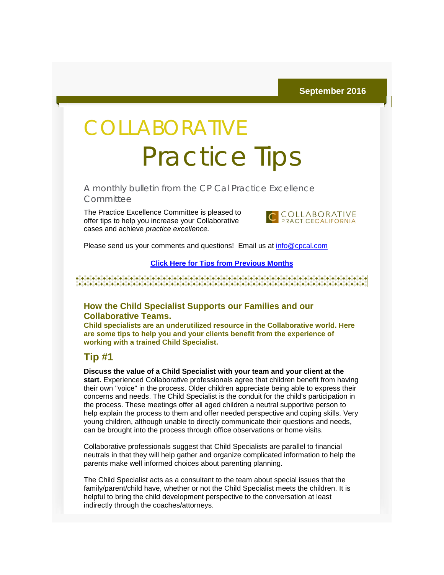# **COLLABORATIVE** Practice Tips

A monthly bulletin from the CP Cal Practice Excellence **Committee** 

The Practice Excellence Committee is pleased to offer tips to help you increase your Collaborative cases and achieve *practice excellence.*



Please send us your comments and questions! Email us at [info@cpcal.com](mailto:info@cpcal.com)

#### **[Click Here for Tips from Previous Months](http://r20.rs6.net/tn.jsp?f=001cPMq-hNjdZi0mMIYryi2_4YlfP2kMse_q4qurh3abOfqOg6AJ5oyJecjwfNrCTpBUPbuwpYBtH6KCsi0D5cYT6T6XOoW7bBkmMO7KM5trXUdG2m9y8GaATg79prDawIYqb_PoRd8e05vX1tT7quI6ke6nb-YomP1Zdog28H3RPfkGcyC5JhI_QuNtj86q492QdAlOPBU33F9feRydUKtEN_xSIQufM77jo_SOUPbv6JnYoqM9HIMQw==&c=KvQO2E-frH48XlCqnIKnoI_xpMBz9GgBtnJdZvGSxx4uIxrxg2_1UQ==&ch=YH5CAeTHhdDzQR3VdYrLGlv0Mw4twb7Bm8DdcW20K6XKyE0TkDMSaA==)**

### **How the Child Specialist Supports our Families and our Collaborative Teams.**

**Child specialists are an underutilized resource in the Collaborative world. Here are some tips to help you and your clients benefit from the experience of working with a trained Child Specialist.**

## **Tip #1**

**Discuss the value of a Child Specialist with your team and your client at the start.** Experienced Collaborative professionals agree that children benefit from having their own "voice" in the process. Older children appreciate being able to express their concerns and needs. The Child Specialist is the conduit for the child's participation in the process. These meetings offer all aged children a neutral supportive person to help explain the process to them and offer needed perspective and coping skills. Very young children, although unable to directly communicate their questions and needs, can be brought into the process through office observations or home visits.

Collaborative professionals suggest that Child Specialists are parallel to financial neutrals in that they will help gather and organize complicated information to help the parents make well informed choices about parenting planning.

The Child Specialist acts as a consultant to the team about special issues that the family/parent/child have, whether or not the Child Specialist meets the children. It is helpful to bring the child development perspective to the conversation at least indirectly through the coaches/attorneys.